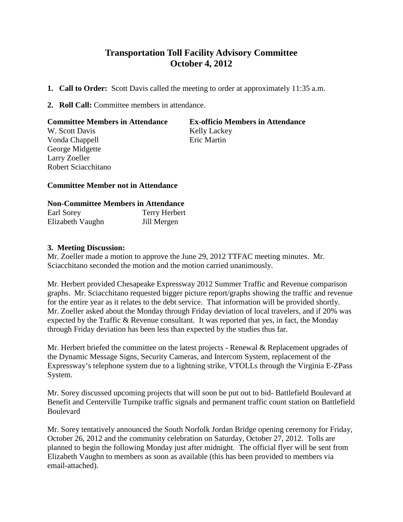## **Transportation Toll Facility Advisory Committee October 4, 2012**

- **1. Call to Order:** Scott Davis called the meeting to order at approximately 11:35 a.m.
- **2. Roll Call:** Committee members in attendance.

| <b>Committee Members in Attendance</b> | <b>Ex-officio Members in Attendance</b> |
|----------------------------------------|-----------------------------------------|
| W. Scott Davis                         | <b>Kelly Lackey</b>                     |
| Vonda Chappell                         | Eric Martin                             |
| George Midgette                        |                                         |
| Larry Zoeller                          |                                         |
| Robert Sciacchitano                    |                                         |

## **Committee Member not in Attendance**

## **Non-Committee Members in Attendance**

| Earl Sorey       | <b>Terry Herbert</b> |
|------------------|----------------------|
| Elizabeth Vaughn | Jill Mergen          |

## **3. Meeting Discussion:**

Mr. Zoeller made a motion to approve the June 29, 2012 TTFAC meeting minutes. Mr. Sciacchitano seconded the motion and the motion carried unanimously.

Mr. Herbert provided Chesapeake Expressway 2012 Summer Traffic and Revenue comparison graphs. Mr. Sciacchitano requested bigger picture report/graphs showing the traffic and revenue for the entire year as it relates to the debt service. That information will be provided shortly. Mr. Zoeller asked about the Monday through Friday deviation of local travelers, and if 20% was expected by the Traffic & Revenue consultant. It was reported that yes, in fact, the Monday through Friday deviation has been less than expected by the studies thus far.

Mr. Herbert briefed the committee on the latest projects - Renewal & Replacement upgrades of the Dynamic Message Signs, Security Cameras, and Intercom System, replacement of the Expressway's telephone system due to a lightning strike, VTOLLs through the Virginia E-ZPass System.

Mr. Sorey discussed upcoming projects that will soon be put out to bid- Battlefield Boulevard at Benefit and Centerville Turnpike traffic signals and permanent traffic count station on Battlefield Boulevard

Mr. Sorey tentatively announced the South Norfolk Jordan Bridge opening ceremony for Friday, October 26, 2012 and the community celebration on Saturday, October 27, 2012. Tolls are planned to begin the following Monday just after midnight. The official flyer will be sent from Elizabeth Vaughn to members as soon as available (this has been provided to members via email-attached).